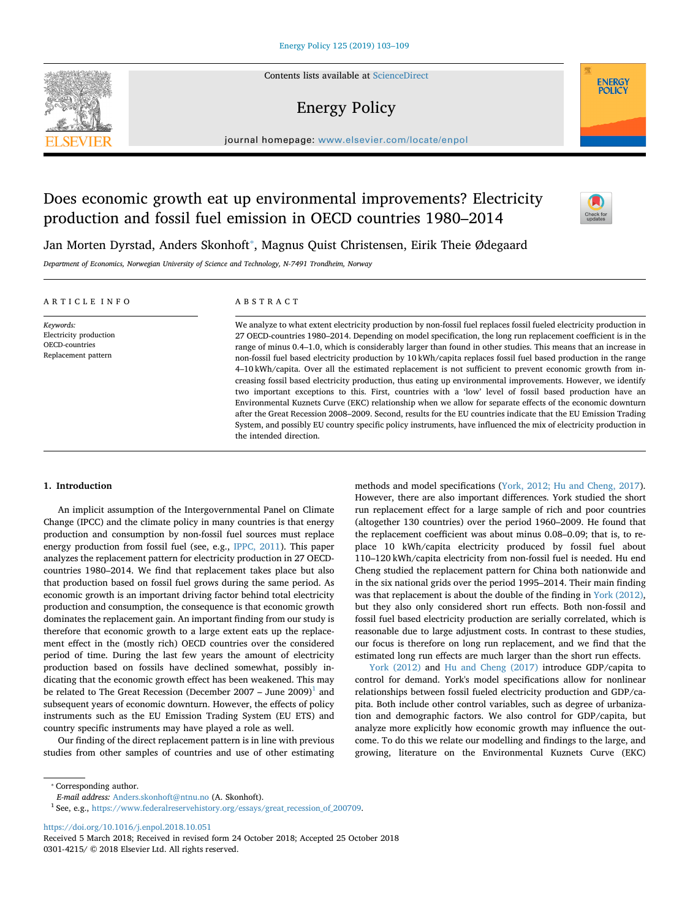Contents lists available at [ScienceDirect](http://www.sciencedirect.com/science/journal/03014215)

# Energy Policy

journal homepage: [www.elsevier.com/locate/enpol](https://www.elsevier.com/locate/enpol)

# Does economic growth eat up environmental improvements? Electricity production and fossil fuel emission in OECD countries 1980–2014



**ENERGY**<br>POLICY

Jan Morten Dyrstad, Anders Skonhoft<sup>\*</sup>, Magnus Quist Christensen, Eirik Theie Ødegaard

*Department of Economics, Norwegian University of Science and Technology, N-7491 Trondheim, Norway*

| ARTICLE INFO                                                                        | ABSTRACT                                                                                                                                                                                                                                                                                                                                                                                                                                                                                                                                                                                                                                                                                                                                                                                                                                                                                                                                                                                                                                                                                                                                                                                                 |
|-------------------------------------------------------------------------------------|----------------------------------------------------------------------------------------------------------------------------------------------------------------------------------------------------------------------------------------------------------------------------------------------------------------------------------------------------------------------------------------------------------------------------------------------------------------------------------------------------------------------------------------------------------------------------------------------------------------------------------------------------------------------------------------------------------------------------------------------------------------------------------------------------------------------------------------------------------------------------------------------------------------------------------------------------------------------------------------------------------------------------------------------------------------------------------------------------------------------------------------------------------------------------------------------------------|
| Keywords:<br>Electricity production<br><b>OECD-countries</b><br>Replacement pattern | We analyze to what extent electricity production by non-fossil fuel replaces fossil fueled electricity production in<br>27 OECD-countries 1980–2014. Depending on model specification, the long run replacement coefficient is in the<br>range of minus 0.4–1.0, which is considerably larger than found in other studies. This means that an increase in<br>non-fossil fuel based electricity production by 10 kWh/capita replaces fossil fuel based production in the range<br>4–10 kWh/capita. Over all the estimated replacement is not sufficient to prevent economic growth from in-<br>creasing fossil based electricity production, thus eating up environmental improvements. However, we identify<br>two important exceptions to this. First, countries with a 'low' level of fossil based production have an<br>Environmental Kuznets Curve (EKC) relationship when we allow for separate effects of the economic downturn<br>after the Great Recession 2008–2009. Second, results for the EU countries indicate that the EU Emission Trading<br>System, and possibly EU country specific policy instruments, have influenced the mix of electricity production in<br>the intended direction. |

## **1. Introduction**

An implicit assumption of the Intergovernmental Panel on Climate Change (IPCC) and the climate policy in many countries is that energy production and consumption by non-fossil fuel sources must replace energy production from fossil fuel (see, e.g., [IPPC, 2011](#page-6-0)). This paper analyzes the replacement pattern for electricity production in 27 OECDcountries 1980–2014. We find that replacement takes place but also that production based on fossil fuel grows during the same period. As economic growth is an important driving factor behind total electricity production and consumption, the consequence is that economic growth dominates the replacement gain. An important finding from our study is therefore that economic growth to a large extent eats up the replacement effect in the (mostly rich) OECD countries over the considered period of time. During the last few years the amount of electricity production based on fossils have declined somewhat, possibly indicating that the economic growth effect has been weakened. This may be related to The Great Recession (December 2007 – June 2009)<sup>[1](#page-0-1)</sup> and subsequent years of economic downturn. However, the effects of policy instruments such as the EU Emission Trading System (EU ETS) and country specific instruments may have played a role as well.

Our finding of the direct replacement pattern is in line with previous studies from other samples of countries and use of other estimating methods and model specifications [\(York, 2012; Hu and Cheng, 2017](#page-6-1)). However, there are also important differences. York studied the short run replacement effect for a large sample of rich and poor countries (altogether 130 countries) over the period 1960–2009. He found that the replacement coefficient was about minus 0.08–0.09; that is, to replace 10 kWh/capita electricity produced by fossil fuel about 110–120 kWh/capita electricity from non-fossil fuel is needed. Hu end Cheng studied the replacement pattern for China both nationwide and in the six national grids over the period 1995–2014. Their main finding was that replacement is about the double of the finding in [York \(2012\)](#page-6-1), but they also only considered short run effects. Both non-fossil and fossil fuel based electricity production are serially correlated, which is reasonable due to large adjustment costs. In contrast to these studies, our focus is therefore on long run replacement, and we find that the estimated long run effects are much larger than the short run effects.

[York \(2012\)](#page-6-1) and [Hu and Cheng \(2017\)](#page-6-2) introduce GDP/capita to control for demand. York's model specifications allow for nonlinear relationships between fossil fueled electricity production and GDP/capita. Both include other control variables, such as degree of urbanization and demographic factors. We also control for GDP/capita, but analyze more explicitly how economic growth may influence the outcome. To do this we relate our modelling and findings to the large, and growing, literature on the Environmental Kuznets Curve (EKC)

<span id="page-0-0"></span>⁎ Corresponding author.

<https://doi.org/10.1016/j.enpol.2018.10.051>

*E-mail address:* [Anders.skonhoft@ntnu.no](mailto:Anders.skonhoft@ntnu.no) (A. Skonhoft).

<span id="page-0-1"></span> $^{\rm 1}$  See, e.g., [https://www.federalreservehistory.org/essays/great\\_recession\\_of\\_200709.](https://www.federalreservehistory.org/essays/great_recession_of_200709)

Received 5 March 2018; Received in revised form 24 October 2018; Accepted 25 October 2018 0301-4215/ © 2018 Elsevier Ltd. All rights reserved.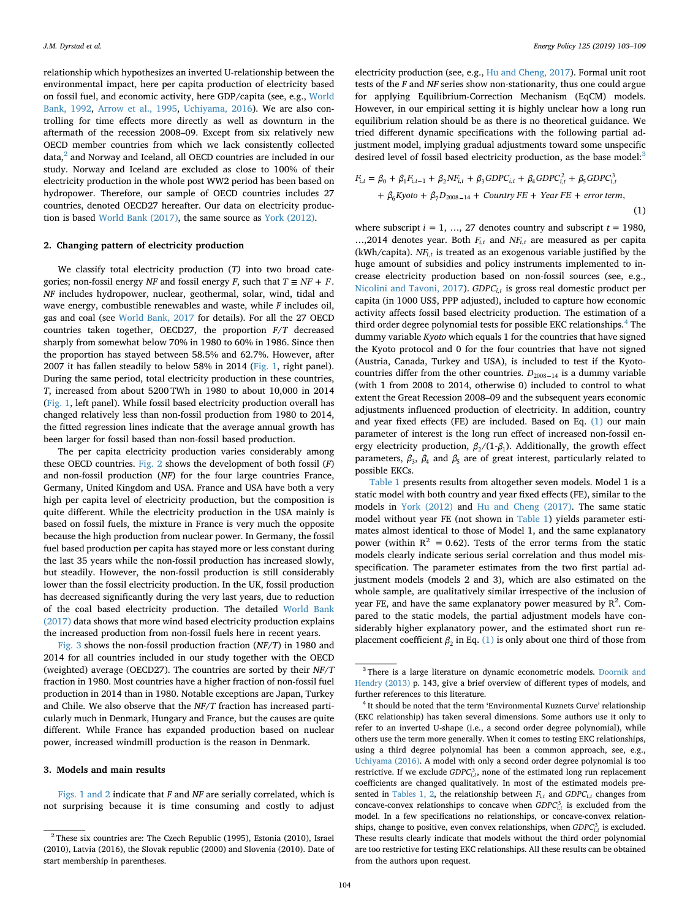relationship which hypothesizes an inverted U-relationship between the environmental impact, here per capita production of electricity based on fossil fuel, and economic activity, here GDP/capita (see, e.g., [World](#page-6-3) [Bank, 1992,](#page-6-3) [Arrow et al., 1995,](#page-6-4) [Uchiyama, 2016\)](#page-6-5). We are also controlling for time effects more directly as well as downturn in the aftermath of the recession 2008–09. Except from six relatively new OECD member countries from which we lack consistently collected data,<sup>[2](#page-1-0)</sup> and Norway and Iceland, all OECD countries are included in our study. Norway and Iceland are excluded as close to 100% of their electricity production in the whole post WW2 period has been based on hydropower. Therefore, our sample of OECD countries includes 27 countries, denoted OECD27 hereafter. Our data on electricity production is based [World Bank \(2017\),](#page-6-6) the same source as [York \(2012\).](#page-6-1)

### **2. Changing pattern of electricity production**

We classify total electricity production (*T)* into two broad categories; non-fossil energy *NF* and fossil energy *F*, such that  $T \equiv NF + F$ . *NF* includes hydropower, nuclear, geothermal, solar, wind, tidal and wave energy, combustible renewables and waste, while *F* includes oil, gas and coal (see [World Bank, 2017](#page-6-6) for details). For all the 27 OECD countries taken together, OECD27, the proportion *F/T* decreased sharply from somewhat below 70% in 1980 to 60% in 1986. Since then the proportion has stayed between 58.5% and 62.7%. However, after 2007 it has fallen steadily to below 58% in 2014 [\(Fig. 1](#page-2-0), right panel). During the same period, total electricity production in these countries, *T*, increased from about 5200 TWh in 1980 to about 10,000 in 2014 ([Fig. 1,](#page-2-0) left panel). While fossil based electricity production overall has changed relatively less than non-fossil production from 1980 to 2014, the fitted regression lines indicate that the average annual growth has been larger for fossil based than non-fossil based production.

The per capita electricity production varies considerably among these OECD countries. [Fig. 2](#page-2-1) shows the development of both fossil (*F*) and non-fossil production (*NF*) for the four large countries France, Germany, United Kingdom and USA. France and USA have both a very high per capita level of electricity production, but the composition is quite different. While the electricity production in the USA mainly is based on fossil fuels, the mixture in France is very much the opposite because the high production from nuclear power. In Germany, the fossil fuel based production per capita has stayed more or less constant during the last 35 years while the non-fossil production has increased slowly, but steadily. However, the non-fossil production is still considerably lower than the fossil electricity production. In the UK, fossil production has decreased significantly during the very last years, due to reduction of the coal based electricity production. The detailed [World Bank](#page-6-6) [\(2017\)](#page-6-6) data shows that more wind based electricity production explains the increased production from non-fossil fuels here in recent years.

[Fig. 3](#page-3-0) shows the non-fossil production fraction (*NF*/*T*) in 1980 and 2014 for all countries included in our study together with the OECD (weighted) average (OECD27). The countries are sorted by their *NF/T* fraction in 1980. Most countries have a higher fraction of non-fossil fuel production in 2014 than in 1980. Notable exceptions are Japan, Turkey and Chile. We also observe that the *NF/T* fraction has increased particularly much in Denmark, Hungary and France, but the causes are quite different. While France has expanded production based on nuclear power, increased windmill production is the reason in Denmark.

## **3. Models and main results**

[Figs. 1 and 2](#page-2-0) indicate that *F* and *NF* are serially correlated, which is not surprising because it is time consuming and costly to adjust

electricity production (see, e.g., [Hu and Cheng, 2017](#page-6-2)). Formal unit root tests of the *F* and *NF* series show non-stationarity, thus one could argue for applying Equilibrium-Correction Mechanism (EqCM) models. However, in our empirical setting it is highly unclear how a long run equilibrium relation should be as there is no theoretical guidance. We tried different dynamic specifications with the following partial adjustment model, implying gradual adjustments toward some unspecific desired level of fossil based electricity production, as the base model:<sup>3</sup>

<span id="page-1-3"></span>
$$
F_{i,t} = \beta_0 + \beta_1 F_{i,t-1} + \beta_2 N F_{i,t} + \beta_3 GDP C_{i,t} + \beta_4 GDP C_{i,t}^2 + \beta_5 GDP C_{i,t}^3
$$
  
+  $\beta_6 K yoto + \beta_7 D_{2008-14} + Country FE + Year FE + error term,$ 

$$
(1)
$$

where subscript  $i = 1, ..., 27$  denotes country and subscript  $t = 1980$ , ..., 2014 denotes year. Both  $F_{i,t}$  and  $NF_{i,t}$  are measured as per capita  $(kWh/capita)$ .  $NF<sub>i,t</sub>$  is treated as an exogenous variable justified by the huge amount of subsidies and policy instruments implemented to increase electricity production based on non-fossil sources (see, e.g., [Nicolini and Tavoni, 2017](#page-6-7)).  $GDPC_{i,t}$  is gross real domestic product per capita (in 1000 US\$, PPP adjusted), included to capture how economic activity affects fossil based electricity production. The estimation of a third order degree polynomial tests for possible EKC relationships.<sup>[4](#page-1-2)</sup> The dummy variable *Kyoto* which equals 1 for the countries that have signed the Kyoto protocol and 0 for the four countries that have not signed (Austria, Canada, Turkey and USA), is included to test if the Kyotocountries differ from the other countries.  $D_{2008-14}$  is a dummy variable (with 1 from 2008 to 2014, otherwise 0) included to control to what extent the Great Recession 2008–09 and the subsequent years economic adjustments influenced production of electricity. In addition, country and year fixed effects (FE) are included. Based on Eq. [\(1\)](#page-1-3) our main parameter of interest is the long run effect of increased non-fossil energy electricity production,  $\beta_2/(1-\beta_1)$ . Additionally, the growth effect parameters,  $\beta_3$ ,  $\beta_4$  and  $\beta_5$  are of great interest, particularly related to possible EKCs.

[Table 1](#page-3-1) presents results from altogether seven models. Model 1 is a static model with both country and year fixed effects (FE), similar to the models in [York \(2012\)](#page-6-1) and [Hu and Cheng \(2017\).](#page-6-2) The same static model without year FE (not shown in [Table 1\)](#page-3-1) yields parameter estimates almost identical to those of Model 1, and the same explanatory power (within  $R^2 = 0.62$ ). Tests of the error terms from the static models clearly indicate serious serial correlation and thus model misspecification. The parameter estimates from the two first partial adjustment models (models 2 and 3), which are also estimated on the whole sample, are qualitatively similar irrespective of the inclusion of year FE, and have the same explanatory power measured by  $R^2$ . Compared to the static models, the partial adjustment models have considerably higher explanatory power, and the estimated short run replacement coefficient  $\beta_2$  in Eq. [\(1\)](#page-1-3) is only about one third of those from

<span id="page-1-0"></span> $2$  These six countries are: The Czech Republic (1995), Estonia (2010), Israel (2010), Latvia (2016), the Slovak republic (2000) and Slovenia (2010). Date of start membership in parentheses.

<span id="page-1-1"></span><sup>&</sup>lt;sup>3</sup> There is a large literature on dynamic econometric models. [Doornik and](#page-6-8) [Hendry \(2013\)](#page-6-8) p. 143, give a brief overview of different types of models, and further references to this literature.

<span id="page-1-2"></span>It should be noted that the term 'Environmental Kuznets Curve' relationship (EKC relationship) has taken several dimensions. Some authors use it only to refer to an inverted U-shape (i.e., a second order degree polynomial), while others use the term more generally. When it comes to testing EKC relationships, using a third degree polynomial has been a common approach, see, e.g., [Uchiyama \(2016\)](#page-6-5). A model with only a second order degree polynomial is too restrictive. If we exclude  $GDPC_{i,t}^3$ , none of the estimated long run replacement coefficients are changed qualitatively. In most of the estimated models pre-sented in [Tables 1, 2,](#page-3-1) the relationship between  $F_{i,t}$  and  $GDPC_{i,t}$  changes from concave-convex relationships to concave when  $GDPC<sub>i,t</sub><sup>3</sup>$  is excluded from the model. In a few specifications no relationships, or concave-convex relationships, change to positive, even convex relationships, when  $GDPC<sub>i,t</sub><sup>3</sup>$  is excluded. These results clearly indicate that models without the third order polynomial are too restrictive for testing EKC relationships. All these results can be obtained from the authors upon request.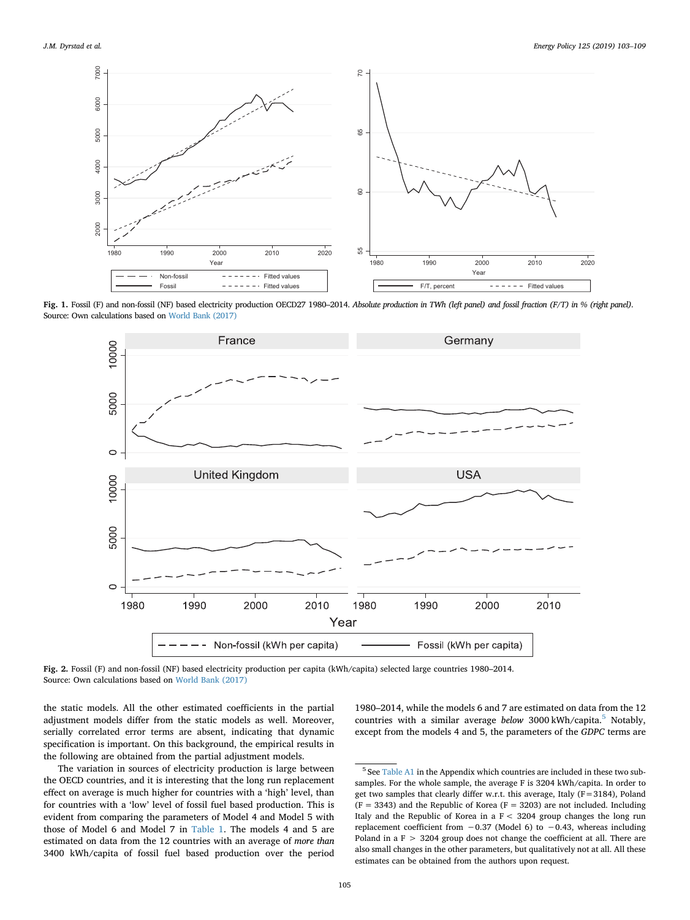<span id="page-2-0"></span>

<span id="page-2-1"></span>**Fig. 1.** Fossil (F) and non-fossil (NF) based electricity production OECD27 1980–2014. *Absolute production in TWh (left panel) and fossil fraction (F/T) in % (right panel)*. Source: Own calculations based on [World Bank \(2017\)](#page-6-6)



**Fig. 2.** Fossil (F) and non-fossil (NF) based electricity production per capita (kWh/capita) selected large countries 1980–2014. Source: Own calculations based on [World Bank \(2017\)](#page-6-6)

the static models. All the other estimated coefficients in the partial adjustment models differ from the static models as well. Moreover, serially correlated error terms are absent, indicating that dynamic specification is important. On this background, the empirical results in the following are obtained from the partial adjustment models.

The variation in sources of electricity production is large between the OECD countries, and it is interesting that the long run replacement effect on average is much higher for countries with a 'high' level, than for countries with a 'low' level of fossil fuel based production. This is evident from comparing the parameters of Model 4 and Model 5 with those of Model 6 and Model 7 in [Table 1](#page-3-1). The models 4 and 5 are estimated on data from the 12 countries with an average of *more than* 3400 kWh/capita of fossil fuel based production over the period

1980–2014, while the models 6 and 7 are estimated on data from the 12 countries with a similar average *below* 3000 kWh/capita.[5](#page-2-2) Notably, except from the models 4 and 5, the parameters of the *GDPC* terms are

<span id="page-2-2"></span><sup>5</sup> See [Table A1](#page-6-9) in the Appendix which countries are included in these two subsamples. For the whole sample, the average F is 3204 kWh/capita. In order to get two samples that clearly differ w.r.t. this average, Italy (F=3184), Poland  $(F = 3343)$  and the Republic of Korea  $(F = 3203)$  are not included. Including Italy and the Republic of Korea in a F < 3204 group changes the long run replacement coefficient from −0.37 (Model 6) to −0.43, whereas including Poland in a F > 3204 group does not change the coefficient at all. There are also small changes in the other parameters, but qualitatively not at all. All these estimates can be obtained from the authors upon request.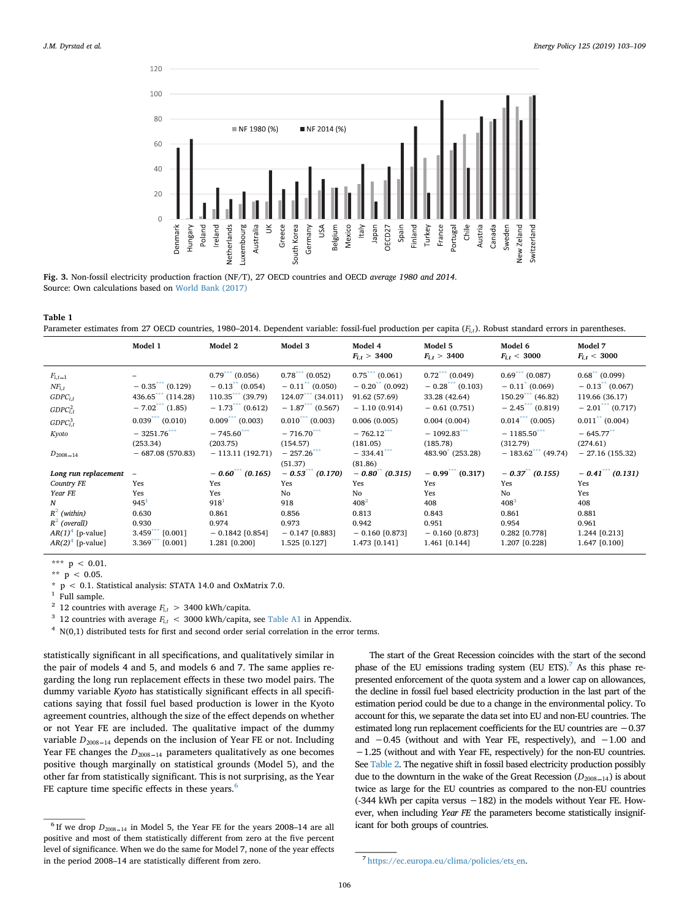<span id="page-3-0"></span>

**Fig. 3.** Non-fossil electricity production fraction (NF/T), 27 OECD countries and OECD *average 1980 and 2014*. Source: Own calculations based on [World Bank \(2017\)](#page-6-6)

#### <span id="page-3-1"></span>**Table 1**

Parameter estimates from 27 OECD countries, 1980–2014. Dependent variable: fossil-fuel production per capita (F<sub>i,t</sub>). Robust standard errors in parentheses.

|                                           | Model 1                                            | Model 2                                 | Model 3                                            | Model 4<br>$F_{i,t} > 3400$      | Model 5<br>$F_{i,t} > 3400$      | Model 6<br>$F_{i,t}$ < 3000           | Model 7<br>$F_{i,t}$ < 3000             |
|-------------------------------------------|----------------------------------------------------|-----------------------------------------|----------------------------------------------------|----------------------------------|----------------------------------|---------------------------------------|-----------------------------------------|
| $F_{i,t-1}$                               |                                                    | $0.79***(0.056)$                        | $0.78***(0.052)$                                   | $0.75***(0.061)$                 | $0.72$ *** (0.049)               | $0.69***(0.087)$                      | $0.68$ (0.099)                          |
| $NF_{i,t}$<br>$GDPC_{i,t}$                | $-0.35$ (0.129)<br>$436.65$ (114.28)               | $-0.13$ (0.054)<br>$110.35$ (39.79)     | $-0.11$ <sup>**</sup> (0.050)<br>$124.07$ (34.011) | $-0.20$ (0.092)<br>91.62 (57.69) | $-0.28$ (0.103)<br>33.28 (42.64) | $-0.11$ (0.069)<br>$150.29$ (46.82)   | $-0.13$ (0.067)<br>119.66 (36.17)       |
| GDPC <sub>i,t</sub> <sup>2</sup>          | $-7.02$ <sup>***</sup> (1.85)<br>$0.039***(0.010)$ | $-1.73***(0.612)$<br>$0.009***$ (0.003) | $-1.87$ (0.567)<br>$0.010***$ (0.003)              | $-1.10(0.914)$                   | $-0.61(0.751)$                   | $-2.45$ (0.819)<br>$0.014***$ (0.005) | $-2.01***(0.717)$<br>$0.011$ ** (0.004) |
| GDPC <sub>i,t</sub> <sup>3</sup><br>Kyoto | $-3251.76***$                                      | $-745.60***$                            | $-716.70***$                                       | 0.006(0.005)<br>$-762.12***$     | 0.004(0.004)<br>$-1092.83***$    | $-1185.50***$                         | $-645.77***$                            |
|                                           | (253.34)<br>$-687.08(570.83)$                      | (203.75)<br>$-113.11(192.71)$           | (154.57)<br>$-257.26$ ***                          | (181.05)<br>$-334.41***$         | (185.78)<br>483.90 (253.28)      | (312.79)<br>$-183.62$ (49.74)         | (274.61)<br>$-27.16(155.32)$            |
| $D_{2008-14}$                             |                                                    |                                         | (51.37)                                            | (81.86)                          |                                  |                                       |                                         |
| Long run replacement                      |                                                    | $-0.60^{***}$ (0.165)                   | $-0.53$ (0.170)                                    | $-0.80$ <sup>**</sup> (0.315)    | $-0.99$ <sup>***</sup> (0.317)   | $-0.37$ (0.155)                       | $-0.41$ (0.131)                         |
| Country FE                                | Yes                                                | Yes                                     | Yes                                                | Yes                              | Yes                              | Yes                                   | Yes                                     |
| Year FE                                   | Yes                                                | Yes                                     | No                                                 | No                               | Yes                              | No                                    | Yes                                     |
| N                                         | 945 <sup>1</sup>                                   | 918 <sup>1</sup>                        | 918                                                | $408^2$                          | 408                              | $408^{3}$                             | 408                                     |
| $R^2$ (within)                            | 0.630                                              | 0.861                                   | 0.856                                              | 0.813                            | 0.843                            | 0.861                                 | 0.881                                   |
| $R^2$ (overall)                           | 0.930                                              | 0.974                                   | 0.973                                              | 0.942                            | 0.951                            | 0.954                                 | 0.961                                   |
| $AR(1)^4$ [p-value]                       | $3.459***$<br>$[0.001]$                            | $-0.1842$ [0.854]                       | $-0.147$ [0.883]                                   | $-0.160$ [0.873]                 | $-0.160$ [0.873]                 | 0.282 [0.778]                         | 1.244 [0.213]                           |
| $AR(2)4$ [p-value]                        | 3.369<br>[0.001]                                   | 1.281 [0.200]                           | 1.525 [0.127]                                      | 1.473 [0.141]                    | 1.461 [0.144]                    | 1.207 [0.228]                         | 1.647 [0.100]                           |

<span id="page-3-4"></span>\*\*\*  $p$  < 0.01.

<span id="page-3-5"></span>\*\*  $p$  < 0.05.

<span id="page-3-7"></span>Full sample.

<span id="page-3-10"></span> $4 N(0,1)$  distributed tests for first and second order serial correlation in the error terms.

statistically significant in all specifications, and qualitatively similar in the pair of models 4 and 5, and models 6 and 7. The same applies regarding the long run replacement effects in these two model pairs. The dummy variable *Kyoto* has statistically significant effects in all specifications saying that fossil fuel based production is lower in the Kyoto agreement countries, although the size of the effect depends on whether or not Year FE are included. The qualitative impact of the dummy variable  $D_{2008-14}$  depends on the inclusion of Year FE or not. Including Year FE changes the  $D_{2008-14}$  parameters qualitatively as one becomes positive though marginally on statistical grounds (Model 5), and the other far from statistically significant. This is not surprising, as the Year FE capture time specific effects in these years. $<sup>6</sup>$ </sup>

The start of the Great Recession coincides with the start of the second phase of the EU emissions trading system (EU ETS).<sup>7</sup> As this phase represented enforcement of the quota system and a lower cap on allowances, the decline in fossil fuel based electricity production in the last part of the estimation period could be due to a change in the environmental policy. To account for this, we separate the data set into EU and non-EU countries. The estimated long run replacement coefficients for the EU countries are −0.37 and −0.45 (without and with Year FE, respectively), and −1.00 and −1.25 (without and with Year FE, respectively) for the non-EU countries. See [Table 2.](#page-4-0) The negative shift in fossil based electricity production possibly due to the downturn in the wake of the Great Recession  $(D_{2008-14})$  is about twice as large for the EU countries as compared to the non-EU countries (-344 kWh per capita versus  $-182$ ) in the models without Year FE. However, when including *Year FE* the parameters become statistically insignificant for both groups of countries.

<span id="page-3-6"></span> $*$  p < 0.1. Statistical analysis: STATA 14.0 and OxMatrix 7.0.

<span id="page-3-8"></span><sup>&</sup>lt;sup>2</sup> 12 countries with average  $F_{i,t}$  > 3400 kWh/capita.

<span id="page-3-9"></span><sup>&</sup>lt;sup>3</sup> 12 countries with average  $F_{i,t}$  < 3000 kWh/capita, see [Table A1](#page-6-9) in Appendix.

<span id="page-3-2"></span> $<sup>6</sup>$  If we drop  $D_{2008-14}$  in Model 5, the Year FE for the years 2008–14 are all</sup> positive and most of them statistically different from zero at the five percent level of significance. When we do the same for Model 7, none of the year effects in the period 2008–14 are statistically different from zero. <sup>7</sup> [https://ec.europa.eu/clima/policies/ets\\_en.](https://ec.europa.eu/clima/policies/ets_en)

<span id="page-3-3"></span>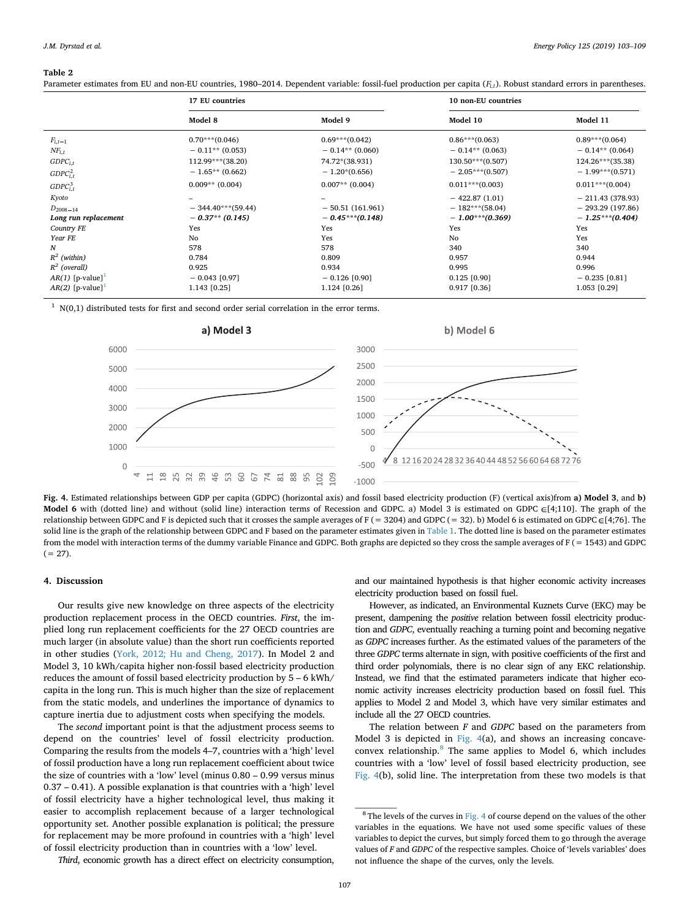#### <span id="page-4-0"></span>**Table 2**

Parameter estimates from EU and non-EU countries, 1980–2014. Dependent variable: fossil-fuel production per capita (F<sub>i,t</sub>). Robust standard errors in parentheses.

|                                | 17 EU countries      |                   | 10 non-EU countries |                     |  |
|--------------------------------|----------------------|-------------------|---------------------|---------------------|--|
|                                | Model 8              | Model 9           | Model 10            | Model 11            |  |
| $F_{i,t-1}$                    | $0.70***$ (0.046)    | $0.69***(0.042)$  | $0.86***(0.063)$    | $0.89***(0.064)$    |  |
| $NF_{i,t}$                     | $-0.11**$ (0.053)    | $-0.14**$ (0.060) | $-0.14**$ (0.063)   | $-0.14**$ (0.064)   |  |
| $GDPC_{i,t}$                   | $112.99***$ (38.20)  | 74.72*(38.931)    | $130.50***(0.507)$  | $124.26***$ (35.38) |  |
| GDPC <sub>i,t</sub>            | $-1.65**$ (0.662)    | $-1.20*(0.656)$   | $-2.05***(0.507)$   | $-1.99***(0.571)$   |  |
| GDPC <sub>i,t</sub>            | $0.009**$ (0.004)    | $0.007**$ (0.004) | $0.011***$ (0.003)  | $0.011***$ (0.004)  |  |
| Kyoto                          |                      |                   | $-422.87(1.01)$     | $-211.43(378.93)$   |  |
| $D_{2008-14}$                  | $-344.40***$ (59.44) | $-50.51(161.961)$ | $-182***$ (58.04)   | $-293.29(197.86)$   |  |
| Long run replacement           | $-0.37**$ (0.145)    | $-0.45***(0.148)$ | $-1.00***(0.369)$   | $-1.25***(0.404)$   |  |
| Country FE                     | Yes                  | Yes               | Yes                 | Yes                 |  |
| Year FE                        | No                   | Yes               | No                  | Yes                 |  |
| N                              | 578                  | 578               | 340                 | 340                 |  |
| $R^2$ (within)                 | 0.784                | 0.809             | 0.957               | 0.944               |  |
| $R^2$ (overall)                | 0.925                | 0.934             | 0.995               | 0.996               |  |
| $AR(1)$ [p-value] <sup>1</sup> | $-0.043$ [0.97]      | $-0.126$ [0.90]   | $0.125$ [0.90]      | $-0.235$ [0.81]     |  |
| $AR(2)$ [p-value] <sup>1</sup> | 1.143 [0.25]         | 1.124 [0.26]      | 0.917 [0.36]        | 1.053 [0.29]        |  |

<span id="page-4-3"></span><span id="page-4-1"></span> $1 N(0,1)$  distributed tests for first and second order serial correlation in the error terms.



**Fig. 4.** Estimated relationships between GDP per capita (GDPC) (horizontal axis) and fossil based electricity production (F) (vertical axis)from **a) Model 3**, and **b)** Model 6 with (dotted line) and without (solid line) interaction terms of Recession and GDPC. a) Model 3 is estimated on GDPC  $\in$ [4;110]. The graph of the relationship between GDPC and F is depicted such that it crosses the sample averages of F (= 3204) and GDPC (= 32). b) Model 6 is estimated on GDPC  $\in$  [4;76]. The solid line is the graph of the relationship between GDPC and F based on the parameter estimates given in [Table 1](#page-3-1). The dotted line is based on the parameter estimates from the model with interaction terms of the dummy variable Finance and GDPC. Both graphs are depicted so they cross the sample averages of F (= 1543) and GDPC  $(= 27).$ 

#### **4. Discussion**

Our results give new knowledge on three aspects of the electricity production replacement process in the OECD countries. *First*, the implied long run replacement coefficients for the 27 OECD countries are much larger (in absolute value) than the short run coefficients reported in other studies ([York, 2012; Hu and Cheng, 2017\)](#page-6-1). In Model 2 and Model 3, 10 kWh/capita higher non-fossil based electricity production reduces the amount of fossil based electricity production by 5 – 6 kWh/ capita in the long run. This is much higher than the size of replacement from the static models, and underlines the importance of dynamics to capture inertia due to adjustment costs when specifying the models.

The *second* important point is that the adjustment process seems to depend on the countries' level of fossil electricity production. Comparing the results from the models 4–7, countries with a 'high' level of fossil production have a long run replacement coefficient about twice the size of countries with a 'low' level (minus 0.80 – 0.99 versus minus 0.37 – 0.41). A possible explanation is that countries with a 'high' level of fossil electricity have a higher technological level, thus making it easier to accomplish replacement because of a larger technological opportunity set. Another possible explanation is political; the pressure for replacement may be more profound in countries with a 'high' level of fossil electricity production than in countries with a 'low' level.

*Third*, economic growth has a direct effect on electricity consumption,

and our maintained hypothesis is that higher economic activity increases electricity production based on fossil fuel.

However, as indicated, an Environmental Kuznets Curve (EKC) may be present, dampening the *positive* relation between fossil electricity production and *GDPC*, eventually reaching a turning point and becoming negative as *GDPC* increases further. As the estimated values of the parameters of the three *GDPC* terms alternate in sign, with positive coefficients of the first and third order polynomials, there is no clear sign of any EKC relationship. Instead, we find that the estimated parameters indicate that higher economic activity increases electricity production based on fossil fuel. This applies to Model 2 and Model 3, which have very similar estimates and include all the 27 OECD countries.

The relation between *F* and *GDPC* based on the parameters from Model 3 is depicted in [Fig. 4](#page-4-1)(a), and shows an increasing concaveconvex relationship.[8](#page-4-2) The same applies to Model 6, which includes countries with a 'low' level of fossil based electricity production, see [Fig. 4](#page-4-1)(b), solid line. The interpretation from these two models is that

<span id="page-4-2"></span> $8$  The levels of the curves in [Fig. 4](#page-4-1) of course depend on the values of the other variables in the equations. We have not used some specific values of these variables to depict the curves, but simply forced them to go through the average values of *F* and *GDPC* of the respective samples. Choice of 'levels variables' does not influence the shape of the curves, only the levels.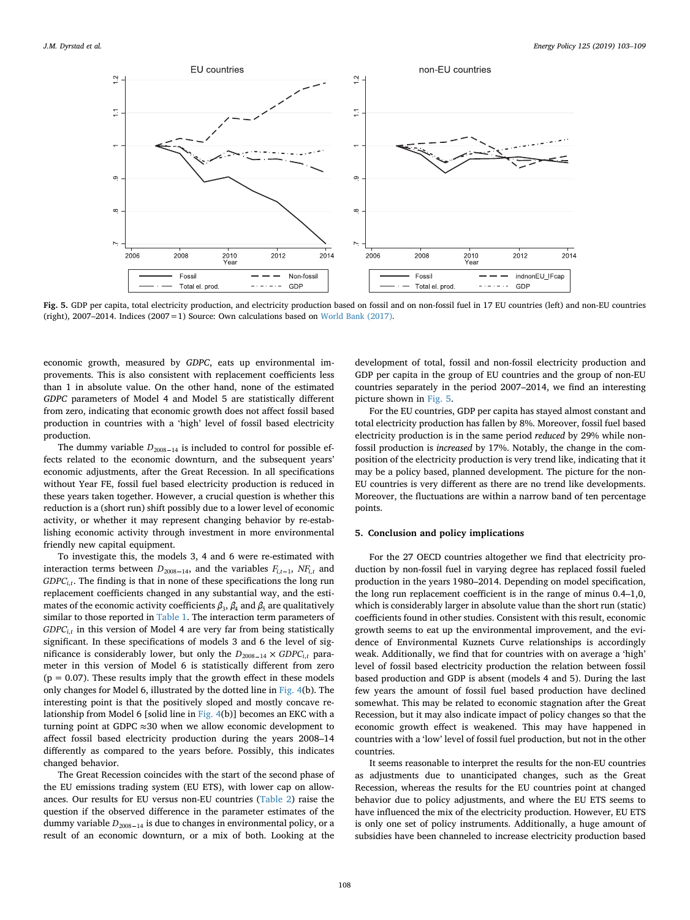<span id="page-5-0"></span>

Fig. 5. GDP per capita, total electricity production, and electricity production based on fossil and on non-fossil fuel in 17 EU countries (left) and non-EU countries (right),  $2007-2014$ . Indices  $(2007=1)$  Source: Own calculations based on [World Bank \(2017\).](#page-6-6)

economic growth, measured by *GDPC*, eats up environmental improvements. This is also consistent with replacement coefficients less than 1 in absolute value. On the other hand, none of the estimated *GDPC* parameters of Model 4 and Model 5 are statistically different from zero, indicating that economic growth does not affect fossil based production in countries with a 'high' level of fossil based electricity production.

The dummy variable  $D_{2008-14}$  is included to control for possible effects related to the economic downturn, and the subsequent years' economic adjustments, after the Great Recession. In all specifications without Year FE, fossil fuel based electricity production is reduced in these years taken together. However, a crucial question is whether this reduction is a (short run) shift possibly due to a lower level of economic activity, or whether it may represent changing behavior by re-establishing economic activity through investment in more environmental friendly new capital equipment.

To investigate this, the models 3, 4 and 6 were re-estimated with interaction terms between  $D_{2008-14}$ , and the variables  $F_{i,t-1}$ ,  $NF_{i,t}$  and *GDPC<sub>i.t</sub>*. The finding is that in none of these specifications the long run replacement coefficients changed in any substantial way, and the estimates of the economic activity coefficients  $\beta_3$ ,  $\beta_4$  and  $\beta_5$  are qualitatively similar to those reported in [Table 1](#page-3-1). The interaction term parameters of  $GDPC_{i,t}$  in this version of Model 4 are very far from being statistically significant. In these specifications of models 3 and 6 the level of significance is considerably lower, but only the  $D_{2008-14} \times GDPC_{i,t}$  parameter in this version of Model 6 is statistically different from zero  $(p = 0.07)$ . These results imply that the growth effect in these models only changes for Model 6, illustrated by the dotted line in [Fig. 4\(](#page-4-1)b). The interesting point is that the positively sloped and mostly concave relationship from Model 6 [solid line in [Fig. 4\(](#page-4-1)b)] becomes an EKC with a turning point at GDPC  $\approx$  30 when we allow economic development to affect fossil based electricity production during the years 2008–14 differently as compared to the years before. Possibly, this indicates changed behavior.

The Great Recession coincides with the start of the second phase of the EU emissions trading system (EU ETS), with lower cap on allowances. Our results for EU versus non-EU countries ([Table 2\)](#page-4-0) raise the question if the observed difference in the parameter estimates of the dummy variable  $D_{2008-14}$  is due to changes in environmental policy, or a result of an economic downturn, or a mix of both. Looking at the

development of total, fossil and non-fossil electricity production and GDP per capita in the group of EU countries and the group of non-EU countries separately in the period 2007–2014, we find an interesting picture shown in [Fig. 5](#page-5-0).

For the EU countries, GDP per capita has stayed almost constant and total electricity production has fallen by 8%. Moreover, fossil fuel based electricity production is in the same period *reduced* by 29% while nonfossil production is *increased* by 17%. Notably, the change in the composition of the electricity production is very trend like, indicating that it may be a policy based, planned development. The picture for the non-EU countries is very different as there are no trend like developments. Moreover, the fluctuations are within a narrow band of ten percentage points.

## **5. Conclusion and policy implications**

For the 27 OECD countries altogether we find that electricity production by non-fossil fuel in varying degree has replaced fossil fueled production in the years 1980–2014. Depending on model specification, the long run replacement coefficient is in the range of minus 0.4–1,0, which is considerably larger in absolute value than the short run (static) coefficients found in other studies. Consistent with this result, economic growth seems to eat up the environmental improvement, and the evidence of Environmental Kuznets Curve relationships is accordingly weak. Additionally, we find that for countries with on average a 'high' level of fossil based electricity production the relation between fossil based production and GDP is absent (models 4 and 5). During the last few years the amount of fossil fuel based production have declined somewhat. This may be related to economic stagnation after the Great Recession, but it may also indicate impact of policy changes so that the economic growth effect is weakened. This may have happened in countries with a 'low' level of fossil fuel production, but not in the other countries.

It seems reasonable to interpret the results for the non-EU countries as adjustments due to unanticipated changes, such as the Great Recession, whereas the results for the EU countries point at changed behavior due to policy adjustments, and where the EU ETS seems to have influenced the mix of the electricity production. However, EU ETS is only one set of policy instruments. Additionally, a huge amount of subsidies have been channeled to increase electricity production based